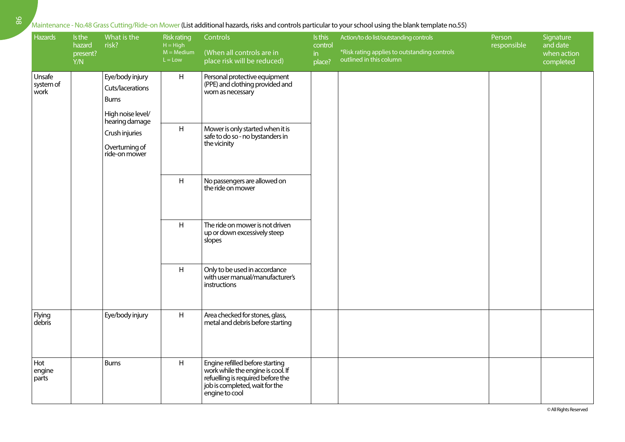## Maintenance - No.48 Grass Cutting/Ride-on Mower (List additional hazards, risks and controls particular to your school using the blank template no.55)

| Hazards                     | Is the<br>hazard<br>present?<br>Y/N | What is the<br>risk?                                                                       | <b>Risk rating</b><br>$H = High$<br>$M = Medium$<br>$L = Low$ | Controls<br>(When all controls are in<br>place risk will be reduced)                                                                                          | Is this<br>control<br>in<br>place? | Action/to do list/outstanding controls<br>*Risk rating applies to outstanding controls<br>outlined in this column | Person<br>responsible | Signature<br>and date<br>when action<br>completed |
|-----------------------------|-------------------------------------|--------------------------------------------------------------------------------------------|---------------------------------------------------------------|---------------------------------------------------------------------------------------------------------------------------------------------------------------|------------------------------------|-------------------------------------------------------------------------------------------------------------------|-----------------------|---------------------------------------------------|
| Unsafe<br>system of<br>work |                                     | Eye/body injury<br>Cuts/lacerations<br><b>Burns</b><br>High noise level/<br>hearing damage | H                                                             | Personal protective equipment<br>(PPE) and clothing provided and<br>worn as necessary                                                                         |                                    |                                                                                                                   |                       |                                                   |
|                             |                                     | Crush injuries<br>Overturning of<br>ride-on mower                                          | H                                                             | Mower is only started when it is<br>safe to do so - no bystanders in<br>the vicinity                                                                          |                                    |                                                                                                                   |                       |                                                   |
|                             |                                     |                                                                                            | H                                                             | No passengers are allowed on<br>the ride on mower                                                                                                             |                                    |                                                                                                                   |                       |                                                   |
|                             |                                     |                                                                                            | H                                                             | The ride on mower is not driven<br>up or down excessively steep<br>slopes                                                                                     |                                    |                                                                                                                   |                       |                                                   |
|                             |                                     |                                                                                            | H                                                             | Only to be used in accordance<br>with user manual/manufacturer's<br>instructions                                                                              |                                    |                                                                                                                   |                       |                                                   |
| Flying<br>debris            |                                     | Eye/body injury                                                                            | H                                                             | Area checked for stones, glass,<br>metal and debris before starting                                                                                           |                                    |                                                                                                                   |                       |                                                   |
| Hot<br>engine<br>parts      |                                     | <b>Burns</b>                                                                               | H                                                             | Engine refilled before starting<br>work while the engine is cool. If<br>refuelling is required before the<br>job is completed, wait for the<br>engine to cool |                                    |                                                                                                                   |                       |                                                   |